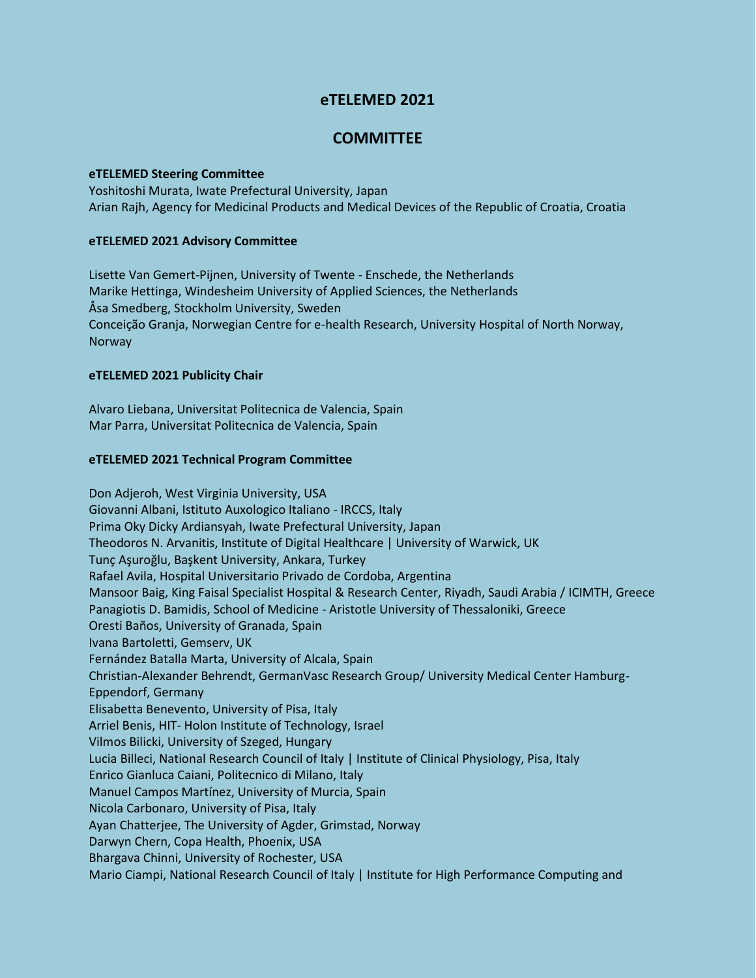# **eTELEMED 2021**

# **COMMITTEE**

#### **eTELEMED Steering Committee**

Yoshitoshi Murata, Iwate Prefectural University, Japan Arian Rajh, Agency for Medicinal Products and Medical Devices of the Republic of Croatia, Croatia

## **eTELEMED 2021 Advisory Committee**

Lisette Van Gemert-Pijnen, University of Twente - Enschede, the Netherlands Marike Hettinga, Windesheim University of Applied Sciences, the Netherlands Åsa Smedberg, Stockholm University, Sweden Conceição Granja, Norwegian Centre for e-health Research, University Hospital of North Norway, Norway

## **eTELEMED 2021 Publicity Chair**

Alvaro Liebana, Universitat Politecnica de Valencia, Spain Mar Parra, Universitat Politecnica de Valencia, Spain

## **eTELEMED 2021 Technical Program Committee**

Don Adjeroh, West Virginia University, USA Giovanni Albani, Istituto Auxologico Italiano - IRCCS, Italy Prima Oky Dicky Ardiansyah, Iwate Prefectural University, Japan Theodoros N. Arvanitis, Institute of Digital Healthcare | University of Warwick, UK Tunç Aşuroğlu, Başkent University, Ankara, Turkey Rafael Avila, Hospital Universitario Privado de Cordoba, Argentina Mansoor Baig, King Faisal Specialist Hospital & Research Center, Riyadh, Saudi Arabia / ICIMTH, Greece Panagiotis D. Bamidis, School of Medicine - Aristotle University of Thessaloniki, Greece Oresti Baños, University of Granada, Spain Ivana Bartoletti, Gemserv, UK Fernández Batalla Marta, University of Alcala, Spain Christian-Alexander Behrendt, GermanVasc Research Group/ University Medical Center Hamburg-Eppendorf, Germany Elisabetta Benevento, University of Pisa, Italy Arriel Benis, HIT- Holon Institute of Technology, Israel Vilmos Bilicki, University of Szeged, Hungary Lucia Billeci, National Research Council of Italy | Institute of Clinical Physiology, Pisa, Italy Enrico Gianluca Caiani, Politecnico di Milano, Italy Manuel Campos Martínez, University of Murcia, Spain Nicola Carbonaro, University of Pisa, Italy Ayan Chatterjee, The University of Agder, Grimstad, Norway Darwyn Chern, Copa Health, Phoenix, USA Bhargava Chinni, University of Rochester, USA Mario Ciampi, National Research Council of Italy | Institute for High Performance Computing and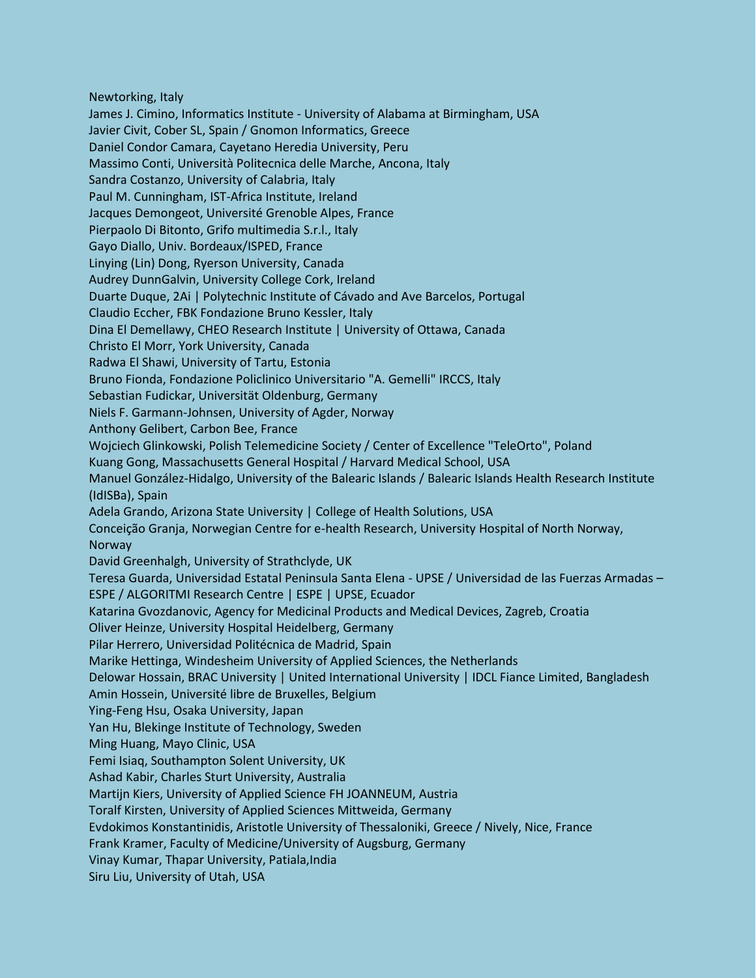Newtorking, Italy

James J. Cimino, Informatics Institute - University of Alabama at Birmingham, USA Javier Civit, Cober SL, Spain / Gnomon Informatics, Greece Daniel Condor Camara, Cayetano Heredia University, Peru Massimo Conti, Università Politecnica delle Marche, Ancona, Italy Sandra Costanzo, University of Calabria, Italy Paul M. Cunningham, IST-Africa Institute, Ireland Jacques Demongeot, Université Grenoble Alpes, France Pierpaolo Di Bitonto, Grifo multimedia S.r.l., Italy Gayo Diallo, Univ. Bordeaux/ISPED, France Linying (Lin) Dong, Ryerson University, Canada Audrey DunnGalvin, University College Cork, Ireland Duarte Duque, 2Ai | Polytechnic Institute of Cávado and Ave Barcelos, Portugal Claudio Eccher, FBK Fondazione Bruno Kessler, Italy Dina El Demellawy, CHEO Research Institute | University of Ottawa, Canada Christo El Morr, York University, Canada Radwa El Shawi, University of Tartu, Estonia Bruno Fionda, Fondazione Policlinico Universitario "A. Gemelli" IRCCS, Italy Sebastian Fudickar, Universität Oldenburg, Germany Niels F. Garmann-Johnsen, University of Agder, Norway Anthony Gelibert, Carbon Bee, France Wojciech Glinkowski, Polish Telemedicine Society / Center of Excellence "TeleOrto", Poland Kuang Gong, Massachusetts General Hospital / Harvard Medical School, USA Manuel González-Hidalgo, University of the Balearic Islands / Balearic Islands Health Research Institute (IdISBa), Spain Adela Grando, Arizona State University | College of Health Solutions, USA Conceição Granja, Norwegian Centre for e-health Research, University Hospital of North Norway, Norway David Greenhalgh, University of Strathclyde, UK Teresa Guarda, Universidad Estatal Peninsula Santa Elena - UPSE / Universidad de las Fuerzas Armadas – ESPE / ALGORITMI Research Centre | ESPE | UPSE, Ecuador Katarina Gvozdanovic, Agency for Medicinal Products and Medical Devices, Zagreb, Croatia Oliver Heinze, University Hospital Heidelberg, Germany Pilar Herrero, Universidad Politécnica de Madrid, Spain Marike Hettinga, Windesheim University of Applied Sciences, the Netherlands Delowar Hossain, BRAC University | United International University | IDCL Fiance Limited, Bangladesh Amin Hossein, Université libre de Bruxelles, Belgium Ying-Feng Hsu, Osaka University, Japan Yan Hu, Blekinge Institute of Technology, Sweden Ming Huang, Mayo Clinic, USA Femi Isiaq, Southampton Solent University, UK Ashad Kabir, Charles Sturt University, Australia Martijn Kiers, University of Applied Science FH JOANNEUM, Austria Toralf Kirsten, University of Applied Sciences Mittweida, Germany Evdokimos Konstantinidis, Aristotle University of Thessaloniki, Greece / Nively, Nice, France Frank Kramer, Faculty of Medicine/University of Augsburg, Germany Vinay Kumar, Thapar University, Patiala,India Siru Liu, University of Utah, USA